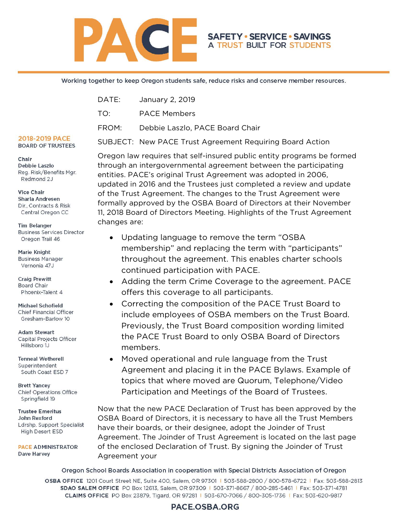

#### Working together to keep Oregon students safe, reduce risks and conserve member resources.

| DATE: | January 2, 2019                                          |
|-------|----------------------------------------------------------|
| TO:   | <b>PACE Members</b>                                      |
| FROM: | Debbie Laszlo, PACE Board Chair                          |
|       | SUBJECT: New PACE Trust Agreement Requiring Board Action |

#### 2018-2019 PACE **BOARD OF TRUSTEES**

Chair Debbie Laszlo Reg. Risk/Benefits Mgr. Redmond 2J

**Vice Chair** Sharla Andresen Dir., Contracts & Risk Central Oregon CC

**Tim Belanger Business Services Director** Oregon Trail 46

Marie Knight **Business Manager** Vernonia 47J

**Craig Prewitt** Board Chair Phoenix-Talent 4

Michael Schofield Chief Financial Officer Gresham-Barlow 10

**Adam Stewart** Capital Projects Officer Hillsboro 1J

**Tenneal Wetherell** Superintendent South Coast ESD 7

**Brett Yancey** Chief Operations Office Springfield 19

**Trustee Emeritus** John Rexford Ldrshp. Support Specialist High Desert ESD

**PACE ADMINISTRATOR** Dave Harvey

11, 2018 Board of Directors Meeting. Highlights of the Trust Agreement changes are: • Updating language to remove the term "OSBA membership" and replacing the term with "participants" throughout the agreement. This enables charter schools

Oregon law requires that self-insured public entity programs be formed through an intergovernmental agreement between the participating entities. PACE's original Trust Agreement was adopted in 2006,

**SAFETY · SERVICE · SAVINGS** A TRUST BUILT FOR STUDENTS

updated in 2016 and the Trustees just completed a review and update of the Trust Agreement. The changes to the Trust Agreement were formally approved by the OSBA Board of Directors at their November

- continued participation with PACE. • Adding the term Crime Coverage to the agreement. PACE offers this coverage to all participants.
- Correcting the composition of the PACE Trust Board to include employees of OSBA members on the Trust Board. Previously, the Trust Board composition wording limited the PACE Trust Board to only OSBA Board of Directors members.
- Moved operational and rule language from the Trust Agreement and placing it in the PACE Bylaws. Example of topics that where moved are Quorum, Telephone/Video Participation and Meetings of the Board of Trustees.

Now that the new PACE Declaration of Trust has been approved by the OSBA Board of Directors, it is necessary to have all the Trust Members have their boards, or their designee, adopt the Joinder of Trust Agreement. The Joinder of Trust Agreement is located on the last page of the enclosed Declaration of Trust. By signing the Joinder of Trust Agreement your

Oregon School Boards Association in cooperation with Special Districts Association of Oregon OSBA OFFICE 1201 Court Street NE, Suite 400, Salem, OR 97301 | 503-588-2800 / 800-578-6722 | Fax: 503-588-2813 SDAO SALEM OFFICE PO Box 12613, Salem, OR 97309 | 503-371-8667 / 800-285-5461 | Fax: 503-371-4781 CLAIMS OFFICE PO Box 23879, Tigard, OR 97281 | 503-670-7066 / 800-305-1736 | Fax: 503-620-9817

### PACE.OSBA.ORG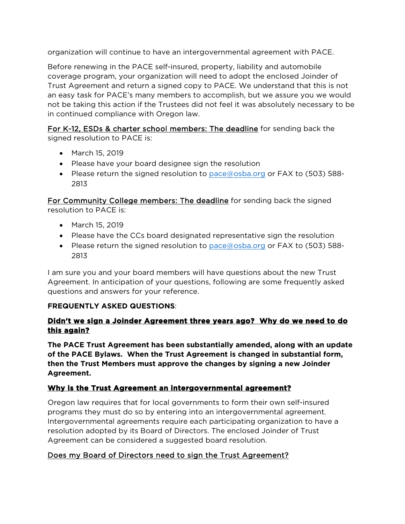organization will continue to have an intergovernmental agreement with PACE.

Before renewing in the PACE self-insured, property, liability and automobile coverage program, your organization will need to adopt the enclosed Joinder of Trust Agreement and return a signed copy to PACE. We understand that this is not an easy task for PACE's many members to accomplish, but we assure you we would not be taking this action if the Trustees did not feel it was absolutely necessary to be in continued compliance with Oregon law.

For K-12, ESDs & charter school members: The deadline for sending back the signed resolution to PACE is:

- March 15, 2019
- Please have your board designee sign the resolution
- Please return the signed resolution to  $pace@osba.org$  or FAX to (503) 588-2813

For Community College members: The deadline for sending back the signed resolution to PACE is:

- March 15, 2019
- Please have the CCs board designated representative sign the resolution
- Please return the signed resolution to  $pace@osba.org$  or FAX to (503) 588-2813

I am sure you and your board members will have questions about the new Trust Agreement. In anticipation of your questions, following are some frequently asked questions and answers for your reference.

### **FREQUENTLY ASKED QUESTIONS**:

## **Didn't we sign a Joinder Agreement three years ago? Why do we need to do this again?**

**The PACE Trust Agreement has been substantially amended, along with an update of the PACE Bylaws. When the Trust Agreement is changed in substantial form, then the Trust Members must approve the changes by signing a new Joinder Agreement.**

# **Why is the Trust Agreement an intergovernmental agreement?**

Oregon law requires that for local governments to form their own self-insured programs they must do so by entering into an intergovernmental agreement. Intergovernmental agreements require each participating organization to have a resolution adopted by its Board of Directors. The enclosed Joinder of Trust Agreement can be considered a suggested board resolution.

# Does my Board of Directors need to sign the Trust Agreement?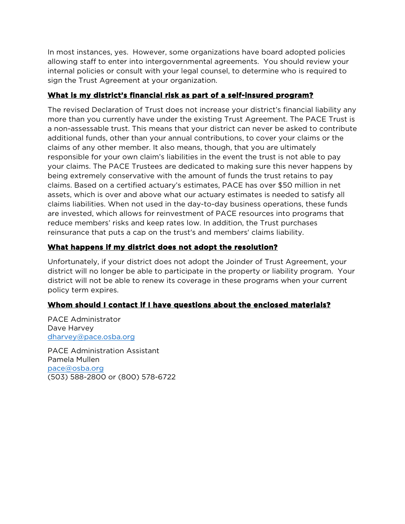In most instances, yes. However, some organizations have board adopted policies allowing staff to enter into intergovernmental agreements. You should review your internal policies or consult with your legal counsel, to determine who is required to sign the Trust Agreement at your organization.

## **What is my district's financial risk as part of a self-insured program?**

The revised Declaration of Trust does not increase your district's financial liability any more than you currently have under the existing Trust Agreement. The PACE Trust is a non-assessable trust. This means that your district can never be asked to contribute additional funds, other than your annual contributions, to cover your claims or the claims of any other member. It also means, though, that you are ultimately responsible for your own claim's liabilities in the event the trust is not able to pay your claims. The PACE Trustees are dedicated to making sure this never happens by being extremely conservative with the amount of funds the trust retains to pay claims. Based on a certified actuary's estimates, PACE has over \$50 million in net assets, which is over and above what our actuary estimates is needed to satisfy all claims liabilities. When not used in the day-to-day business operations, these funds are invested, which allows for reinvestment of PACE resources into programs that reduce members' risks and keep rates low. In addition, the Trust purchases reinsurance that puts a cap on the trust's and members' claims liability.

# **What happens if my district does not adopt the resolution?**

Unfortunately, if your district does not adopt the Joinder of Trust Agreement, your district will no longer be able to participate in the property or liability program. Your district will not be able to renew its coverage in these programs when your current policy term expires.

# **Whom should I contact if I have questions about the enclosed materials?**

PACE Administrator Dave Harvey [dharvey@pace.osba.org](mailto:dharvey@pace.osba.org)

PACE Administration Assistant Pamela Mullen [pace@osba.org](mailto:pace@osba.org) (503) 588-2800 or (800) 578-6722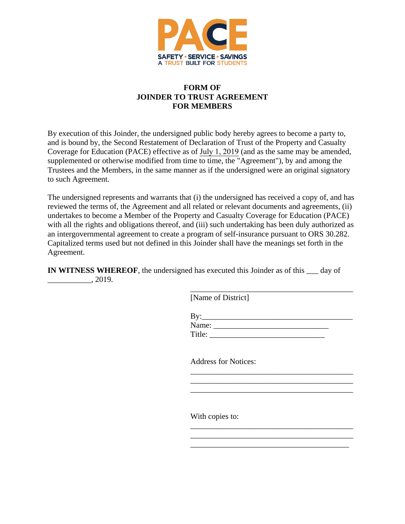

#### **FORM OF JOINDER TO TRUST AGREEMENT FOR MEMBERS**

By execution of this Joinder, the undersigned public body hereby agrees to become a party to, and is bound by, the Second Restatement of Declaration of Trust of the Property and Casualty Coverage for Education (PACE) effective as of July 1, 2019 (and as the same may be amended, supplemented or otherwise modified from time to time, the "Agreement"), by and among the Trustees and the Members, in the same manner as if the undersigned were an original signatory to such Agreement.

The undersigned represents and warrants that (i) the undersigned has received a copy of, and has reviewed the terms of, the Agreement and all related or relevant documents and agreements, (ii) undertakes to become a Member of the Property and Casualty Coverage for Education (PACE) with all the rights and obligations thereof, and (iii) such undertaking has been duly authorized as an intergovernmental agreement to create a program of self-insurance pursuant to ORS 30.282. Capitalized terms used but not defined in this Joinder shall have the meanings set forth in the Agreement.

**IN WITNESS WHEREOF**, the undersigned has executed this Joinder as of this day of  $\frac{1}{2019}$ , 2019.

[Name of District]

By:\_\_\_\_\_\_\_\_\_\_\_\_\_\_\_\_\_\_\_\_\_\_\_\_\_\_\_\_\_\_\_\_\_\_\_\_\_\_ Name: \_\_\_\_\_\_\_\_\_\_\_\_\_\_\_\_\_\_\_\_\_\_\_\_\_\_\_\_\_ Title:

\_\_\_\_\_\_\_\_\_\_\_\_\_\_\_\_\_\_\_\_\_\_\_\_\_\_\_\_\_\_\_\_\_\_\_\_\_\_\_\_\_

\_\_\_\_\_\_\_\_\_\_\_\_\_\_\_\_\_\_\_\_\_\_\_\_\_\_\_\_\_\_\_\_\_\_\_\_\_\_\_\_\_

\_\_\_\_\_\_\_\_\_\_\_\_\_\_\_\_\_\_\_\_\_\_\_\_\_\_\_\_\_\_\_\_\_\_\_\_\_\_\_\_\_

\_\_\_\_\_\_\_\_\_\_\_\_\_\_\_\_\_\_\_\_\_\_\_\_\_\_\_\_\_\_\_\_\_\_\_\_\_\_\_\_\_  $\mathcal{L}_\text{max}$  , where  $\mathcal{L}_\text{max}$  and  $\mathcal{L}_\text{max}$  and  $\mathcal{L}_\text{max}$ \_\_\_\_\_\_\_\_\_\_\_\_\_\_\_\_\_\_\_\_\_\_\_\_\_\_\_\_\_\_\_\_\_\_\_\_\_\_\_\_

Address for Notices:

With copies to: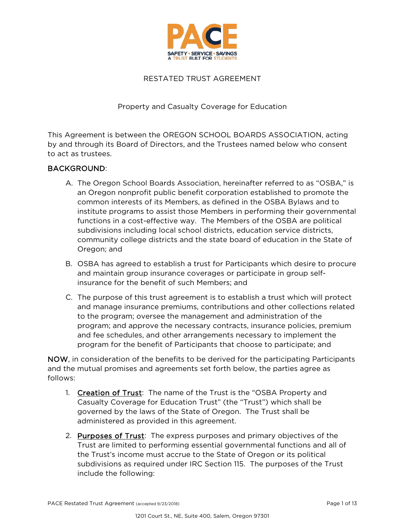

#### RESTATED TRUST AGREEMENT

#### Property and Casualty Coverage for Education

This Agreement is between the OREGON SCHOOL BOARDS ASSOCIATION, acting by and through its Board of Directors, and the Trustees named below who consent to act as trustees.

#### BACKGROUND:

- A. The Oregon School Boards Association, hereinafter referred to as "OSBA," is an Oregon nonprofit public benefit corporation established to promote the common interests of its Members, as defined in the OSBA Bylaws and to institute programs to assist those Members in performing their governmental functions in a cost-effective way. The Members of the OSBA are political subdivisions including local school districts, education service districts, community college districts and the state board of education in the State of Oregon; and
- B. OSBA has agreed to establish a trust for Participants which desire to procure and maintain group insurance coverages or participate in group selfinsurance for the benefit of such Members; and
- C. The purpose of this trust agreement is to establish a trust which will protect and manage insurance premiums, contributions and other collections related to the program; oversee the management and administration of the program; and approve the necessary contracts, insurance policies, premium and fee schedules, and other arrangements necessary to implement the program for the benefit of Participants that choose to participate; and

NOW, in consideration of the benefits to be derived for the participating Participants and the mutual promises and agreements set forth below, the parties agree as follows:

- 1. Creation of Trust: The name of the Trust is the "OSBA Property and Casualty Coverage for Education Trust" (the "Trust") which shall be governed by the laws of the State of Oregon. The Trust shall be administered as provided in this agreement.
- 2. Purposes of Trust: The express purposes and primary objectives of the Trust are limited to performing essential governmental functions and all of the Trust's income must accrue to the State of Oregon or its political subdivisions as required under IRC Section 115. The purposes of the Trust include the following: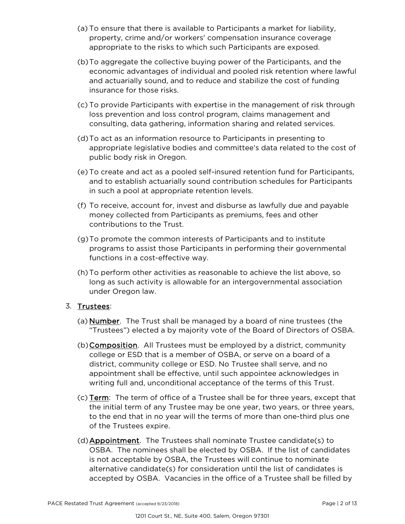- (a) To ensure that there is available to Participants a market for liability, property, crime and/or workers' compensation insurance coverage appropriate to the risks to which such Participants are exposed.
- (b)To aggregate the collective buying power of the Participants, and the economic advantages of individual and pooled risk retention where lawful and actuarially sound, and to reduce and stabilize the cost of funding insurance for those risks.
- (c) To provide Participants with expertise in the management of risk through loss prevention and loss control program, claims management and consulting, data gathering, information sharing and related services.
- (d)To act as an information resource to Participants in presenting to appropriate legislative bodies and committee's data related to the cost of public body risk in Oregon.
- (e) To create and act as a pooled self-insured retention fund for Participants, and to establish actuarially sound contribution schedules for Participants in such a pool at appropriate retention levels.
- (f) To receive, account for, invest and disburse as lawfully due and payable money collected from Participants as premiums, fees and other contributions to the Trust.
- (g)To promote the common interests of Participants and to institute programs to assist those Participants in performing their governmental functions in a cost-effective way.
- (h)To perform other activities as reasonable to achieve the list above, so long as such activity is allowable for an intergovernmental association under Oregon law.

### 3. Trustees:

- (a) Number. The Trust shall be managed by a board of nine trustees (the "Trustees") elected a by majority vote of the Board of Directors of OSBA.
- (b) **Composition**. All Trustees must be employed by a district, community college or ESD that is a member of OSBA, or serve on a board of a district, community college or ESD. No Trustee shall serve, and no appointment shall be effective, until such appointee acknowledges in writing full and, unconditional acceptance of the terms of this Trust.
- (c) Term: The term of office of a Trustee shall be for three years, except that the initial term of any Trustee may be one year, two years, or three years, to the end that in no year will the terms of more than one-third plus one of the Trustees expire.
- (d)Appointment. The Trustees shall nominate Trustee candidate(s) to OSBA. The nominees shall be elected by OSBA. If the list of candidates is not acceptable by OSBA, the Trustees will continue to nominate alternative candidate(s) for consideration until the list of candidates is accepted by OSBA. Vacancies in the office of a Trustee shall be filled by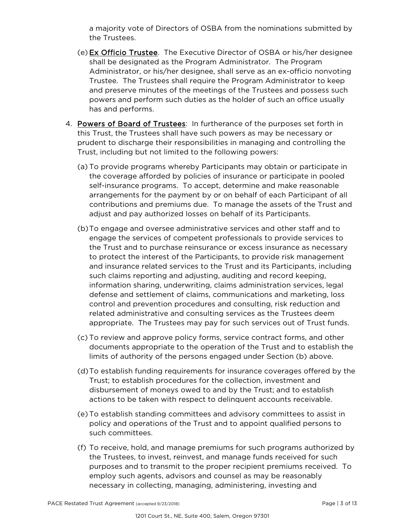a majority vote of Directors of OSBA from the nominations submitted by the Trustees.

- (e) Ex Officio Trustee. The Executive Director of OSBA or his/her designee shall be designated as the Program Administrator. The Program Administrator, or his/her designee, shall serve as an ex-officio nonvoting Trustee. The Trustees shall require the Program Administrator to keep and preserve minutes of the meetings of the Trustees and possess such powers and perform such duties as the holder of such an office usually has and performs.
- 4. Powers of Board of Trustees: In furtherance of the purposes set forth in this Trust, the Trustees shall have such powers as may be necessary or prudent to discharge their responsibilities in managing and controlling the Trust, including but not limited to the following powers:
	- (a) To provide programs whereby Participants may obtain or participate in the coverage afforded by policies of insurance or participate in pooled self-insurance programs. To accept, determine and make reasonable arrangements for the payment by or on behalf of each Participant of all contributions and premiums due. To manage the assets of the Trust and adjust and pay authorized losses on behalf of its Participants.
	- (b)To engage and oversee administrative services and other staff and to engage the services of competent professionals to provide services to the Trust and to purchase reinsurance or excess insurance as necessary to protect the interest of the Participants, to provide risk management and insurance related services to the Trust and its Participants, including such claims reporting and adjusting, auditing and record keeping, information sharing, underwriting, claims administration services, legal defense and settlement of claims, communications and marketing, loss control and prevention procedures and consulting, risk reduction and related administrative and consulting services as the Trustees deem appropriate. The Trustees may pay for such services out of Trust funds.
	- (c) To review and approve policy forms, service contract forms, and other documents appropriate to the operation of the Trust and to establish the limits of authority of the persons engaged under Section (b) above.
	- (d)To establish funding requirements for insurance coverages offered by the Trust; to establish procedures for the collection, investment and disbursement of moneys owed to and by the Trust; and to establish actions to be taken with respect to delinquent accounts receivable.
	- (e) To establish standing committees and advisory committees to assist in policy and operations of the Trust and to appoint qualified persons to such committees.
	- (f) To receive, hold, and manage premiums for such programs authorized by the Trustees, to invest, reinvest, and manage funds received for such purposes and to transmit to the proper recipient premiums received. To employ such agents, advisors and counsel as may be reasonably necessary in collecting, managing, administering, investing and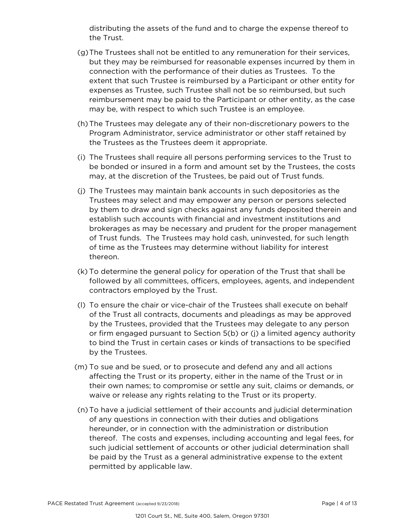distributing the assets of the fund and to charge the expense thereof to the Trust.

- (g)The Trustees shall not be entitled to any remuneration for their services, but they may be reimbursed for reasonable expenses incurred by them in connection with the performance of their duties as Trustees. To the extent that such Trustee is reimbursed by a Participant or other entity for expenses as Trustee, such Trustee shall not be so reimbursed, but such reimbursement may be paid to the Participant or other entity, as the case may be, with respect to which such Trustee is an employee.
- (h)The Trustees may delegate any of their non-discretionary powers to the Program Administrator, service administrator or other staff retained by the Trustees as the Trustees deem it appropriate.
- (i) The Trustees shall require all persons performing services to the Trust to be bonded or insured in a form and amount set by the Trustees, the costs may, at the discretion of the Trustees, be paid out of Trust funds.
- (j) The Trustees may maintain bank accounts in such depositories as the Trustees may select and may empower any person or persons selected by them to draw and sign checks against any funds deposited therein and establish such accounts with financial and investment institutions and brokerages as may be necessary and prudent for the proper management of Trust funds. The Trustees may hold cash, uninvested, for such length of time as the Trustees may determine without liability for interest thereon.
- (k) To determine the general policy for operation of the Trust that shall be followed by all committees, officers, employees, agents, and independent contractors employed by the Trust.
- (l) To ensure the chair or vice-chair of the Trustees shall execute on behalf of the Trust all contracts, documents and pleadings as may be approved by the Trustees, provided that the Trustees may delegate to any person or firm engaged pursuant to Section 5(b) or (j) a limited agency authority to bind the Trust in certain cases or kinds of transactions to be specified by the Trustees.
- (m) To sue and be sued, or to prosecute and defend any and all actions affecting the Trust or its property, either in the name of the Trust or in their own names; to compromise or settle any suit, claims or demands, or waive or release any rights relating to the Trust or its property.
- (n)To have a judicial settlement of their accounts and judicial determination of any questions in connection with their duties and obligations hereunder, or in connection with the administration or distribution thereof. The costs and expenses, including accounting and legal fees, for such judicial settlement of accounts or other judicial determination shall be paid by the Trust as a general administrative expense to the extent permitted by applicable law.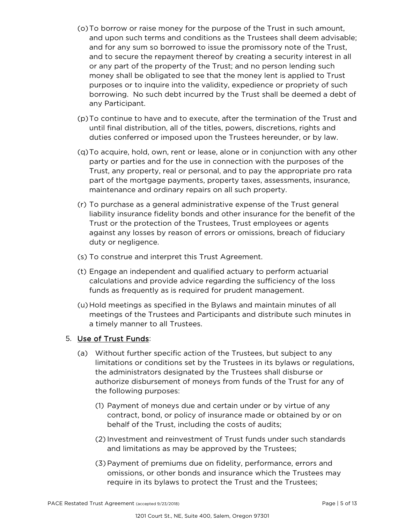- (o)To borrow or raise money for the purpose of the Trust in such amount, and upon such terms and conditions as the Trustees shall deem advisable; and for any sum so borrowed to issue the promissory note of the Trust, and to secure the repayment thereof by creating a security interest in all or any part of the property of the Trust; and no person lending such money shall be obligated to see that the money lent is applied to Trust purposes or to inquire into the validity, expedience or propriety of such borrowing. No such debt incurred by the Trust shall be deemed a debt of any Participant.
- (p)To continue to have and to execute, after the termination of the Trust and until final distribution, all of the titles, powers, discretions, rights and duties conferred or imposed upon the Trustees hereunder, or by law.
- (q)To acquire, hold, own, rent or lease, alone or in conjunction with any other party or parties and for the use in connection with the purposes of the Trust, any property, real or personal, and to pay the appropriate pro rata part of the mortgage payments, property taxes, assessments, insurance, maintenance and ordinary repairs on all such property.
- (r) To purchase as a general administrative expense of the Trust general liability insurance fidelity bonds and other insurance for the benefit of the Trust or the protection of the Trustees, Trust employees or agents against any losses by reason of errors or omissions, breach of fiduciary duty or negligence.
- (s) To construe and interpret this Trust Agreement.
- (t) Engage an independent and qualified actuary to perform actuarial calculations and provide advice regarding the sufficiency of the loss funds as frequently as is required for prudent management.
- (u) Hold meetings as specified in the Bylaws and maintain minutes of all meetings of the Trustees and Participants and distribute such minutes in a timely manner to all Trustees.

### 5. Use of Trust Funds:

- (a) Without further specific action of the Trustees, but subject to any limitations or conditions set by the Trustees in its bylaws or regulations, the administrators designated by the Trustees shall disburse or authorize disbursement of moneys from funds of the Trust for any of the following purposes:
	- (1) Payment of moneys due and certain under or by virtue of any contract, bond, or policy of insurance made or obtained by or on behalf of the Trust, including the costs of audits;
	- (2) Investment and reinvestment of Trust funds under such standards and limitations as may be approved by the Trustees;
	- (3)Payment of premiums due on fidelity, performance, errors and omissions, or other bonds and insurance which the Trustees may require in its bylaws to protect the Trust and the Trustees;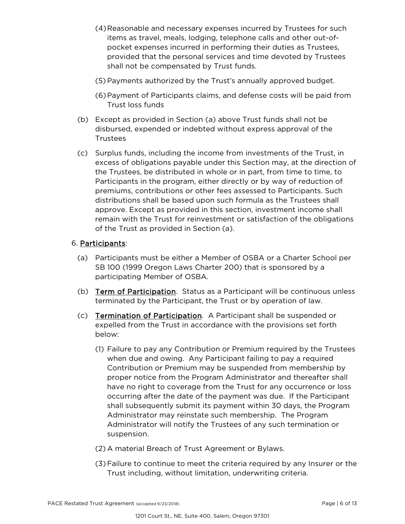- (4)Reasonable and necessary expenses incurred by Trustees for such items as travel, meals, lodging, telephone calls and other out-ofpocket expenses incurred in performing their duties as Trustees, provided that the personal services and time devoted by Trustees shall not be compensated by Trust funds.
- (5)Payments authorized by the Trust's annually approved budget.
- (6)Payment of Participants claims, and defense costs will be paid from Trust loss funds
- (b) Except as provided in Section (a) above Trust funds shall not be disbursed, expended or indebted without express approval of the Trustees
- (c) Surplus funds, including the income from investments of the Trust, in excess of obligations payable under this Section may, at the direction of the Trustees, be distributed in whole or in part, from time to time, to Participants in the program, either directly or by way of reduction of premiums, contributions or other fees assessed to Participants. Such distributions shall be based upon such formula as the Trustees shall approve. Except as provided in this section, investment income shall remain with the Trust for reinvestment or satisfaction of the obligations of the Trust as provided in Section (a).

### 6. Participants:

- (a) Participants must be either a Member of OSBA or a Charter School per SB 100 (1999 Oregon Laws Charter 200) that is sponsored by a participating Member of OSBA.
- (b) Term of Participation. Status as a Participant will be continuous unless terminated by the Participant, the Trust or by operation of law.
- (c) Termination of Participation. A Participant shall be suspended or expelled from the Trust in accordance with the provisions set forth below:
	- (1) Failure to pay any Contribution or Premium required by the Trustees when due and owing. Any Participant failing to pay a required Contribution or Premium may be suspended from membership by proper notice from the Program Administrator and thereafter shall have no right to coverage from the Trust for any occurrence or loss occurring after the date of the payment was due. If the Participant shall subsequently submit its payment within 30 days, the Program Administrator may reinstate such membership. The Program Administrator will notify the Trustees of any such termination or suspension.
	- (2) A material Breach of Trust Agreement or Bylaws.
	- (3)Failure to continue to meet the criteria required by any Insurer or the Trust including, without limitation, underwriting criteria.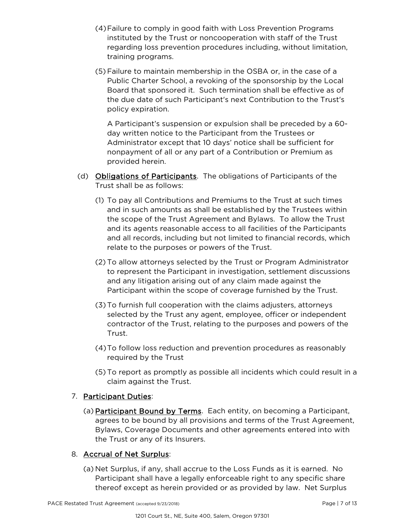- (4)Failure to comply in good faith with Loss Prevention Programs instituted by the Trust or noncooperation with staff of the Trust regarding loss prevention procedures including, without limitation, training programs.
- (5)Failure to maintain membership in the OSBA or, in the case of a Public Charter School, a revoking of the sponsorship by the Local Board that sponsored it. Such termination shall be effective as of the due date of such Participant's next Contribution to the Trust's policy expiration.

A Participant's suspension or expulsion shall be preceded by a 60 day written notice to the Participant from the Trustees or Administrator except that 10 days' notice shall be sufficient for nonpayment of all or any part of a Contribution or Premium as provided herein.

- (d) Obligations of Participants. The obligations of Participants of the Trust shall be as follows:
	- (1) To pay all Contributions and Premiums to the Trust at such times and in such amounts as shall be established by the Trustees within the scope of the Trust Agreement and Bylaws. To allow the Trust and its agents reasonable access to all facilities of the Participants and all records, including but not limited to financial records, which relate to the purposes or powers of the Trust.
	- (2) To allow attorneys selected by the Trust or Program Administrator to represent the Participant in investigation, settlement discussions and any litigation arising out of any claim made against the Participant within the scope of coverage furnished by the Trust.
	- (3)To furnish full cooperation with the claims adjusters, attorneys selected by the Trust any agent, employee, officer or independent contractor of the Trust, relating to the purposes and powers of the Trust.
	- (4)To follow loss reduction and prevention procedures as reasonably required by the Trust
	- (5)To report as promptly as possible all incidents which could result in a claim against the Trust.

# 7. Participant Duties:

(a) Participant Bound by Terms. Each entity, on becoming a Participant, agrees to be bound by all provisions and terms of the Trust Agreement, Bylaws, Coverage Documents and other agreements entered into with the Trust or any of its Insurers.

### 8. Accrual of Net Surplus:

(a) Net Surplus, if any, shall accrue to the Loss Funds as it is earned. No Participant shall have a legally enforceable right to any specific share thereof except as herein provided or as provided by law. Net Surplus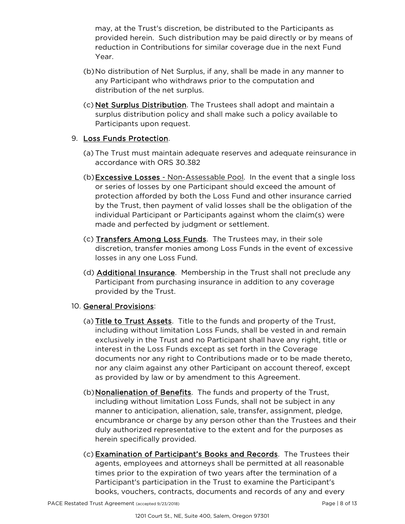may, at the Trust's discretion, be distributed to the Participants as provided herein. Such distribution may be paid directly or by means of reduction in Contributions for similar coverage due in the next Fund Year.

- (b)No distribution of Net Surplus, if any, shall be made in any manner to any Participant who withdraws prior to the computation and distribution of the net surplus.
- (c) Net Surplus Distribution. The Trustees shall adopt and maintain a surplus distribution policy and shall make such a policy available to Participants upon request.

### 9. Loss Funds Protection.

- (a) The Trust must maintain adequate reserves and adequate reinsurance in accordance with ORS 30.382
- (b)Excessive Losses Non-Assessable Pool. In the event that a single loss or series of losses by one Participant should exceed the amount of protection afforded by both the Loss Fund and other insurance carried by the Trust, then payment of valid losses shall be the obligation of the individual Participant or Participants against whom the claim(s) were made and perfected by judgment or settlement.
- (c) Transfers Among Loss Funds. The Trustees may, in their sole discretion, transfer monies among Loss Funds in the event of excessive losses in any one Loss Fund.
- (d) **Additional Insurance**. Membership in the Trust shall not preclude any Participant from purchasing insurance in addition to any coverage provided by the Trust.

### 10. General Provisions:

- (a) Title to Trust Assets. Title to the funds and property of the Trust, including without limitation Loss Funds, shall be vested in and remain exclusively in the Trust and no Participant shall have any right, title or interest in the Loss Funds except as set forth in the Coverage documents nor any right to Contributions made or to be made thereto, nor any claim against any other Participant on account thereof, except as provided by law or by amendment to this Agreement.
- (b)Nonalienation of Benefits. The funds and property of the Trust, including without limitation Loss Funds, shall not be subject in any manner to anticipation, alienation, sale, transfer, assignment, pledge, encumbrance or charge by any person other than the Trustees and their duly authorized representative to the extent and for the purposes as herein specifically provided.
- (c) Examination of Participant's Books and Records. The Trustees their agents, employees and attorneys shall be permitted at all reasonable times prior to the expiration of two years after the termination of a Participant's participation in the Trust to examine the Participant's books, vouchers, contracts, documents and records of any and every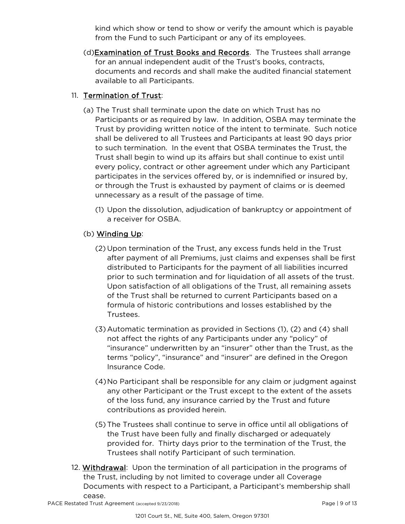kind which show or tend to show or verify the amount which is payable from the Fund to such Participant or any of its employees.

(d)Examination of Trust Books and Records. The Trustees shall arrange for an annual independent audit of the Trust's books, contracts, documents and records and shall make the audited financial statement available to all Participants.

# 11. Termination of Trust:

- (a) The Trust shall terminate upon the date on which Trust has no Participants or as required by law. In addition, OSBA may terminate the Trust by providing written notice of the intent to terminate. Such notice shall be delivered to all Trustees and Participants at least 90 days prior to such termination. In the event that OSBA terminates the Trust, the Trust shall begin to wind up its affairs but shall continue to exist until every policy, contract or other agreement under which any Participant participates in the services offered by, or is indemnified or insured by, or through the Trust is exhausted by payment of claims or is deemed unnecessary as a result of the passage of time.
	- (1) Upon the dissolution, adjudication of bankruptcy or appointment of a receiver for OSBA.

# (b) Winding Up:

- (2) Upon termination of the Trust, any excess funds held in the Trust after payment of all Premiums, just claims and expenses shall be first distributed to Participants for the payment of all liabilities incurred prior to such termination and for liquidation of all assets of the trust. Upon satisfaction of all obligations of the Trust, all remaining assets of the Trust shall be returned to current Participants based on a formula of historic contributions and losses established by the Trustees.
- (3)Automatic termination as provided in Sections (1), (2) and (4) shall not affect the rights of any Participants under any "policy" of "insurance" underwritten by an "insurer" other than the Trust, as the terms "policy", "insurance" and "insurer" are defined in the Oregon Insurance Code.
- (4)No Participant shall be responsible for any claim or judgment against any other Participant or the Trust except to the extent of the assets of the loss fund, any insurance carried by the Trust and future contributions as provided herein.
- (5)The Trustees shall continue to serve in office until all obligations of the Trust have been fully and finally discharged or adequately provided for. Thirty days prior to the termination of the Trust, the Trustees shall notify Participant of such termination.
- 12. Withdrawal: Upon the termination of all participation in the programs of the Trust, including by not limited to coverage under all Coverage Documents with respect to a Participant, a Participant's membership shall cease.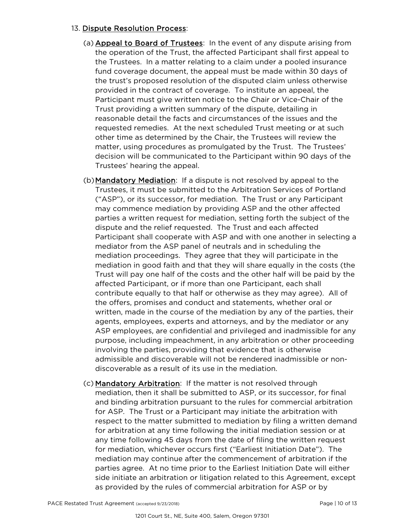#### 13. Dispute Resolution Process:

- (a) Appeal to Board of Trustees: In the event of any dispute arising from the operation of the Trust, the affected Participant shall first appeal to the Trustees. In a matter relating to a claim under a pooled insurance fund coverage document, the appeal must be made within 30 days of the trust's proposed resolution of the disputed claim unless otherwise provided in the contract of coverage. To institute an appeal, the Participant must give written notice to the Chair or Vice-Chair of the Trust providing a written summary of the dispute, detailing in reasonable detail the facts and circumstances of the issues and the requested remedies. At the next scheduled Trust meeting or at such other time as determined by the Chair, the Trustees will review the matter, using procedures as promulgated by the Trust. The Trustees' decision will be communicated to the Participant within 90 days of the Trustees' hearing the appeal.
- (b)Mandatory Mediation: If a dispute is not resolved by appeal to the Trustees, it must be submitted to the Arbitration Services of Portland ("ASP"), or its successor, for mediation. The Trust or any Participant may commence mediation by providing ASP and the other affected parties a written request for mediation, setting forth the subject of the dispute and the relief requested. The Trust and each affected Participant shall cooperate with ASP and with one another in selecting a mediator from the ASP panel of neutrals and in scheduling the mediation proceedings. They agree that they will participate in the mediation in good faith and that they will share equally in the costs (the Trust will pay one half of the costs and the other half will be paid by the affected Participant, or if more than one Participant, each shall contribute equally to that half or otherwise as they may agree). All of the offers, promises and conduct and statements, whether oral or written, made in the course of the mediation by any of the parties, their agents, employees, experts and attorneys, and by the mediator or any ASP employees, are confidential and privileged and inadmissible for any purpose, including impeachment, in any arbitration or other proceeding involving the parties, providing that evidence that is otherwise admissible and discoverable will not be rendered inadmissible or nondiscoverable as a result of its use in the mediation.
- (c) Mandatory Arbitration: If the matter is not resolved through mediation, then it shall be submitted to ASP, or its successor, for final and binding arbitration pursuant to the rules for commercial arbitration for ASP. The Trust or a Participant may initiate the arbitration with respect to the matter submitted to mediation by filing a written demand for arbitration at any time following the initial mediation session or at any time following 45 days from the date of filing the written request for mediation, whichever occurs first ("Earliest Initiation Date"). The mediation may continue after the commencement of arbitration if the parties agree. At no time prior to the Earliest Initiation Date will either side initiate an arbitration or litigation related to this Agreement, except as provided by the rules of commercial arbitration for ASP or by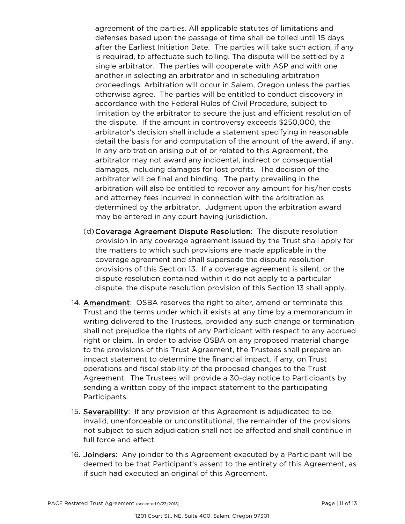agreement of the parties. All applicable statutes of limitations and defenses based upon the passage of time shall be tolled until 15 days after the Earliest Initiation Date. The parties will take such action, if any is required, to effectuate such tolling. The dispute will be settled by a single arbitrator. The parties will cooperate with ASP and with one another in selecting an arbitrator and in scheduling arbitration proceedings. Arbitration will occur in Salem, Oregon unless the parties otherwise agree. The parties will be entitled to conduct discovery in accordance with the Federal Rules of Civil Procedure, subject to limitation by the arbitrator to secure the just and efficient resolution of the dispute. If the amount in controversy exceeds \$250,000, the arbitrator's decision shall include a statement specifying in reasonable detail the basis for and computation of the amount of the award, if any. In any arbitration arising out of or related to this Agreement, the arbitrator may not award any incidental, indirect or consequential damages, including damages for lost profits. The decision of the arbitrator will be final and binding. The party prevailing in the arbitration will also be entitled to recover any amount for his/her costs and attorney fees incurred in connection with the arbitration as determined by the arbitrator. Judgment upon the arbitration award may be entered in any court having jurisdiction.

- (d)Coverage Agreement Dispute Resolution: The dispute resolution provision in any coverage agreement issued by the Trust shall apply for the matters to which such provisions are made applicable in the coverage agreement and shall supersede the dispute resolution provisions of this Section 13. If a coverage agreement is silent, or the dispute resolution contained within it do not apply to a particular dispute, the dispute resolution provision of this Section 13 shall apply.
- 14. Amendment: OSBA reserves the right to alter, amend or terminate this Trust and the terms under which it exists at any time by a memorandum in writing delivered to the Trustees, provided any such change or termination shall not prejudice the rights of any Participant with respect to any accrued right or claim. In order to advise OSBA on any proposed material change to the provisions of this Trust Agreement, the Trustees shall prepare an impact statement to determine the financial impact, if any, on Trust operations and fiscal stability of the proposed changes to the Trust Agreement. The Trustees will provide a 30-day notice to Participants by sending a written copy of the impact statement to the participating Participants.
- 15. Severability: If any provision of this Agreement is adjudicated to be invalid, unenforceable or unconstitutional, the remainder of the provisions not subject to such adjudication shall not be affected and shall continue in full force and effect.
- 16. Joinders: Any joinder to this Agreement executed by a Participant will be deemed to be that Participant's assent to the entirety of this Agreement, as if such had executed an original of this Agreement.

PACE Restated Trust Agreement (accepted 9/23/2018) Page | 11 of 13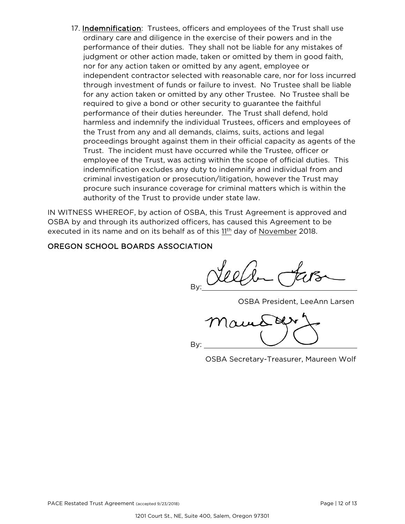17. Indemnification: Trustees, officers and employees of the Trust shall use ordinary care and diligence in the exercise of their powers and in the performance of their duties. They shall not be liable for any mistakes of judgment or other action made, taken or omitted by them in good faith, nor for any action taken or omitted by any agent, employee or independent contractor selected with reasonable care, nor for loss incurred through investment of funds or failure to invest. No Trustee shall be liable for any action taken or omitted by any other Trustee. No Trustee shall be required to give a bond or other security to guarantee the faithful performance of their duties hereunder. The Trust shall defend, hold harmless and indemnify the individual Trustees, officers and employees of the Trust from any and all demands, claims, suits, actions and legal proceedings brought against them in their official capacity as agents of the Trust. The incident must have occurred while the Trustee, officer or employee of the Trust, was acting within the scope of official duties. This indemnification excludes any duty to indemnify and individual from and criminal investigation or prosecution/litigation, however the Trust may procure such insurance coverage for criminal matters which is within the authority of the Trust to provide under state law.

IN WITNESS WHEREOF, by action of OSBA, this Trust Agreement is approved and OSBA by and through its authorized officers, has caused this Agreement to be executed in its name and on its behalf as of this  $11<sup>th</sup>$  day of November 2018.

### OREGON SCHOOL BOARDS ASSOCIATION

By:

OSBA President, LeeAnn Larsen

**BLY** By:

OSBA Secretary-Treasurer, Maureen Wolf